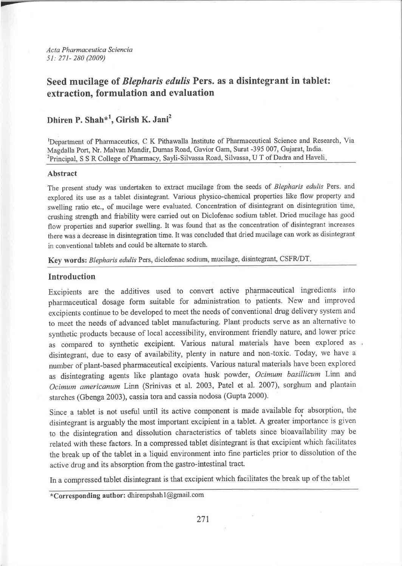Acta Pharmaceutica Sciencia 5l:271- 280 (2009)

# Seed mucilage of *Blepharis edulis* Pers. as a disintegrant in tablet: extraction, formulation and evaluation

# Dhiren P. Shah<sup>\*1</sup>, Girish K. Jani<sup>2</sup>

Department of Pharmaceutics, C K Pithawalla Institute of Pharmaceutical Science and Research, Via Magdalla Port, Nr. Malvan Mandir, Dumas Road, Gavior Gam, Surat -395 007, Gujarat, lndia. <sup>2</sup>Principal, S S R College of Pharmacy, Sayli-Silvassa Road, Silvassa, U T of Dadra and Haveli.

# Abstract

The present study was undertaken to extract mucilage from the seeds of Blepharis edulis Pers. and explored its use as a tablet disintegrant. Various physico-chemical properties like flow property and swelling ratio etc., of mucilage were evaluated. Concentration of disintegrant on disintegration time, crushing strength and friability were carried out on Diclofenac sodium tablet. Dried mucilage has good flow properties and superior swelling. It was found that as the concentration of disintegrant increases there was a decrease in disintegration time. It was concluded that dried mucilage can work as disintegrant in conventional tablets and could be alternate to starch.

Key words: Blepharis edulis Pers, diclofenac sodium, mucilage, disintegrant, CSFR/DT.

# Introduction

Excipients are the additives used to convert active pharmaceutical ingıedients into pharmaceutical dosage form suitable for administration to patients. New and improved excipients continue to be developed to meet the needs of conventional drug delivery system and to meet the needs of advanced tablet manufacturing. Plant products serve as an alternative to synthetic products because of local accessibility, environment friendly nature, and lower price as compared to synthetic excipient. Various natural materials have been explored as disintegrant, due to easy of availability, plenty in natuıe and non-toxic. Today, we have <sup>a</sup> number of plant-based pharmaceutical excipients. Various natural materials have been explored as disintegrating agents like plantago ovata husk powder, Ocimum basillicum Linn and Ocimum americanum Linn (Srinivas et al. 2003, Patel et al. 2007), sorghum and plantain starches (Gbenga 2003), cassia tora and cassia nodosa (Gupta 2000).

Since a tablet is not useful until its active component is made available for absorption, the disintegrant is arguably the most important excipient in a tablet. A greater importance is given to the disintegration and dissolution characteristics of tablets since bioavailability may be related with these factors. In a compressed tablet disintegrant is that excipient which facilitates the break up of the tablet in a liquid environment into fine particles prior to dissolution of the active drug and its absorption from the gastro-intestinal tract.

In a compressed tablet disintegrant is that excipient which facilitates the break up of the tablet

\*Corresponding author: dhirenpshah l@gmail.com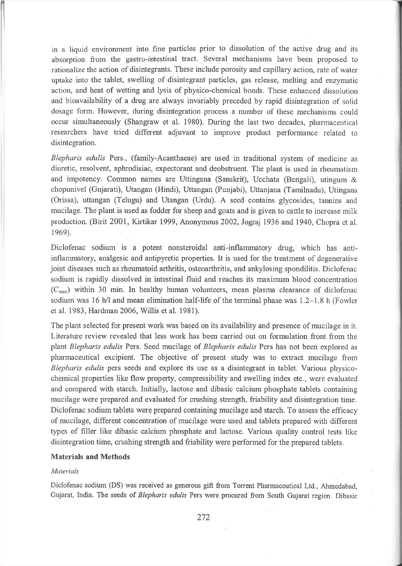in a liquid environment into fine particles prior to dissolution of the active drug and its absorption from the gastro-intestinal tract. Several mechanisms have been proposed to rationalize the action of disintegrants. These include porosity and capillary action, rate of water uptake into the tablet, swelling of disintegrant particles, gas release, melting and enzymatic action, and heat of wetting and lysis of physico-chemical bonds. These enhanced dissolution and bioavailability of a drug are always invariably preceded by rapid disintegration of solid dosage form. However, during disintegration process a number of these mechanisms could occur siınultaneously (Shangraw et al. 1980). During the last two decades, pharmaceutical researchers have tried different adjuvant to improve product performance related to disintegration.

Blepharis edulis Pers., (family-Acanthaeae) are used in traditional system of medicine as diuretic, resolvent, aphrodisiac, expectorant and deobstruent. The plant is used in rheumatism and impotency. Common names are Uttingana (Sanskrit), Ucchata (Bengali), utingum  $\&$ chopunivel (Gujarati), Utangan (Hindi), Uttangan (Punjabi), Uttanjana (Tamilnadu), Utingana (Orissa), uttangan (Telugu) and Utangan (Urdu). A seed contains glycosides, tannins and mucilage. The plant is used as fodder for sheep and goats and is given to cattle to increase milk production. (Birit 2001, Kirtikar l999, Anonymous 2002, Jogıaj 1936 and 1940, Chopra et al. 1969).

Diclofenac sodium is a potent nonsteroidal anti-inflammatory drug, which has antiinflammatory, analgesic and antipyretic properties. It is used for the treatment of degenerative joint diseases such as rheumatoid arthritis, osteoarthritis, and ankylosing spondilitis. Diclofenac sodium is rapidly dissolved in intestinal fluid and reaches its maximum blood concentration  $(C_{\text{max}})$  within 30 min. In healthy human volunteers, mean plasma clearance of diclofenac sodium was 16 h/l and mean elimination half-life of the terminal phase was 1.2-1.8 h (Fowler et al. l983, Hardınan 2006, Willis et al. l981).

The plant selected for present work was based on its availability and presence of mucilage in it. Literature review revealed that less work has been carried out on formulation front from the plant Blepharis edulis Pers. Seed mucilage of Blepharis edulis Pers has not been explored as pharmaceutical excipient. The objective of present study was to extract mucilage from Blepharis edulis pers seeds and explore its use as a disintegrant in tablet. Various physicochemical properties like flow property, compressibility and swelling index etc., were evaluated and compared with starch. Initially, lactose and dibasic calcium phosphate tablets containing mucilage were prepared and evaluated for crushing strength, friability and disintegration tinıe. Diclofenac sodium tablets were prepared containing mucilage and starch. To assess the efficacy of mucilage, different concentration of mucilage were used and tablets prepared with different types of filler like dibasic calcium phosphate and lactose. Various quality control tests like disintegration time, crushing strength and friability were performed for the prepared tablets.

# Materials and Methods

## Materials

Diclofenac sodium (DS) was received as generous gift from Torrent Pharmaceutical Ltd., Ahmedabad, Gujarat, India. The seeds of Blepharis edulis Pers were procured from South Gujarat region. Dibasic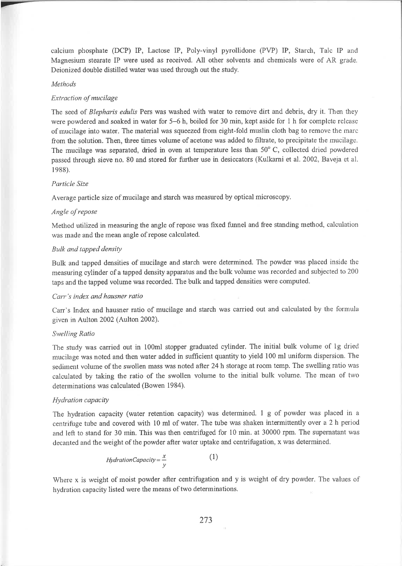calcitıın phosphate (DCP) IP, Lactose IP, Poly-vinyl pyrollidone (PVP) IP, Starch, Talc IP and Magnesium stearate IP were used as received. All other solvents and chemicals were of AR grade. Deionized double distilled water was used through out the study.

#### Methods

### Extraction of mucilage

The seed of Blepharis edulis Pers was washed with water to remove dirt and debris, dry it. Then they were powdered and soaked in water for 5-6 h, boiled for 30 min, kept aside for I h for complete release of mucilage into water. The material was squeezed from eight-fold muslin cloth bag to remove the marc from the solution. Then, three times volume of acetone was added to filtrate, to precipitate the mucilage. The mucilage was separated, dried in oven at temperature less than  $50^{\circ}$  C, collected dried powdered passed through sieve no. 80 and stored for further use in desiccators (Kulkarni et al. 2002, Baveja et al. 1988).

# Particle Size

Average particle size of mucilage and starch was measwed by optical microscopy.

## Angle of repose

Method utilized in measuring the angle of repose was fixed funnel and free standing method, calculation was ınade and the mean angle of repose calculated.

### Bulk and tapped density

Bulk and tapped densities of mucilage and starch were deterınined. The powder was placed inside the measruing cylinder of a tapped density apparafuıs and the bulk volume was recorded and subjected to 200 taps and the tapped volume was recorded. The bulk and tapped densities were computed.

#### Carr's index and hausner ratio

Carr's Index and hausner ratio of mucilage and starch was carried out and calculated by the formula given in Aulton 2002 (Aulton 2002).

#### Swelling Ratio

The study was carried out in 100m1 stopper graduated cylinder. The initial bulk volume of lg dried mucilage was noted and then water added in sufficient quantity to yield 100 ml uniform dispersion. The sediınent volume of the swollen mass was noted after 24 h storage at room temp. The swelling ratio was calculated by taking the ratio of the swollen voluıne to the initial bulk volume. The mean of two determinations was calculated (Bowen 1984).

# Hydration capacity

The hydration capacity (water retention capacity) was determined. I g of powder was placed in <sup>a</sup> ceııtrifllge tube and covered with l0 ml of water. The tube was shaken intermittently over a2 h period and left to stand for 30 min. This was then centrifuged for l0 min. at 30000 rpm. The supernatant was decanted and the weight of the powder after water uptake and centrifugation, x was determined.

$$
Hydration Capacity = \frac{x}{y}
$$
 (1)

Where x is weight of moist powder after centrifugation and y is weight of dry powder. The values of hydration capacity listed were the means of two determinations.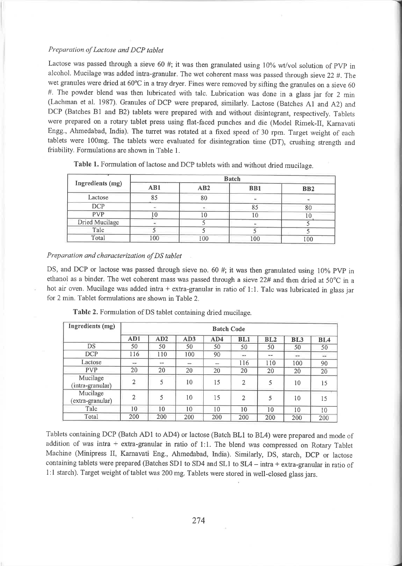# Preparation of Lactose and DCP tablet

Lactose was passed through a sieve 60 #; it was then granulated using  $10\%$  wt/vol solution of PVP in alcohol. Mucilage was added intra-granular. The wet coherent mass was passed through sieve 22 #. The wet granules were dried at 60°C in a tray dryer. Fines were removed by sifting the granules on a sieve 60 #. The powder blend was then lubricated with talc. Lubrication was done in a glass jar for 2 min (Lachman et al. 1987). Granules of DCP were prepared, similarly. Lactose (Batches A1 and A2) and DCP (Batches B1 and B2) tablets were prepared with and without disintegrant, respectively. Tablets were prepared on a rotary tablet press using flat-faced punches and die (Model Rimek-II, Karnavati Engg., Ahmedabad, India). The turret was rotated at a fixed speed of 30 rpm. Target weight of each tablets were 100mg. The tablets were evaluated for disintegration time (DT), crushing strength and friability. Formulations are shown in Table l.

| Ingredients (mg) | <b>Batch</b> |     |                 |            |  |  |  |
|------------------|--------------|-----|-----------------|------------|--|--|--|
|                  | AB1          | AB2 | B <sub>B1</sub> | <b>BB2</b> |  |  |  |
| Lactose          |              | 80  |                 |            |  |  |  |
| DCP              |              |     | 85              |            |  |  |  |
| <b>PVP</b>       |              | .0  | 10              |            |  |  |  |
| Dried Mucilage   |              |     |                 |            |  |  |  |
| Talc             |              |     |                 |            |  |  |  |
| Total            | 00           | 100 | 100             | 100        |  |  |  |

Table 1. Formulation of lactose and DCP tablets with and without dried mucilage.

### Preparation and characterization of DS tablet

DS, and DCP or lactose was passed through sieve no. 60 #; it was then granulated using 10% PVP in ethanol as a binder. The wet coherent mass was passed through a sieve 22# and then dried at 50°C in a hot air oven. Mucilage was added intra + extra-granular in ratio of 1:1. Talc was lubricated in glass jar for 2 min. Tablet formulations are shown in Table 2.

| Ingredients (mg)             | <b>Batch Code</b> |     |       |     |                |       |                 |        |
|------------------------------|-------------------|-----|-------|-----|----------------|-------|-----------------|--------|
|                              | AD1               | AD2 | AD3   | AD4 | BL1            | BL2   | BL <sub>3</sub> | BL4    |
| DS                           | 50                | 50  | 50    | 50  | 50             | 50    | 50              | 50     |
| <b>DCP</b>                   | 116               | 110 | 100   | 90  | $\sim$         | 44.48 | $***$           | $\sim$ |
| Lactose                      | <b>THE</b>        | $-$ | $***$ |     | 116            | 110   | 100             | 90     |
| <b>PVP</b>                   | 20                | 20  | 20    | 20  | 20             | 20    | 20              | 20     |
| Mucilage<br>(intra-granular) | $\overline{2}$    | 5   | 10    | 15  | $\overline{2}$ | 5     | 10              | 15     |
| Mucilage<br>(extra-granular) | $\overline{2}$    | 5   | 10    | 15  | $\overline{2}$ | 5     | 10              | 15     |
| Talc                         | 10                | 10  | 10    | 10  | 10             | 10    | 10              | 10     |
| Total                        | 200               | 200 | 200   | 200 | 200            | 200   | 200             | 200    |

Table 2. Formulation of DS tablet containing dried mucilage.

Tablets containing DCP (Batch ADI to AD4) or lactose (Batch BLI to BL4) were prepared and mode of addition of was intra + extra-granular in ratio of 1:1. The blend was compressed on Rotary Tablet Machine (Minipress II, Karnavati Eng., Ahmedabad, India). Similarly, DS, starch, DCp or lactose containing tablets were prepared (Batches SD1 to SD4 and SL1 to  $SL4 - intra + extra-granular$  in ratio of 1:l starch). Target weight of tablet was 200 mg. Tablets were stored in well-closed glass jars.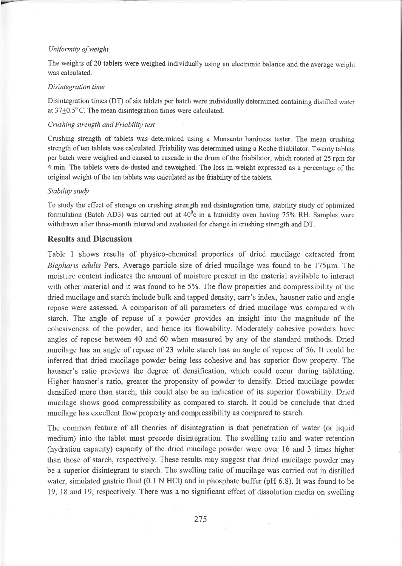# Uniformity of weight

The weights of 20 tablets were weighed individually using an electronic balance and the average weight was calculated.

#### Disintegration time

Disintegration times (DT) of six tablets per batch were individually determined containing distilled water at  $37\pm0.5^{\circ}$  C. The mean disintegration times were calculated.

# Crushing strength and Friability test

Crushing strength of tablets was determined using a Monsanto hardness tester. The mean crushing strength of ten tablets was calculated. Friability was determined using a Roche friabilator. Twenty tablets per batch. were weighed and caused to cascade in the drum of the friabilator, which rotated at 25 rpm for 4 min. The tablets were de-dusted and reweighed. The loss in weight expressed as a percentage of the original weight of the ten tablets was calculated as the friability of the tablets.

# Stability study

To study the effect of storage on crushing strengü and disintegration time, stability study of optimized formulation (Batch AD3) was carried out at  $40^{\circ}$ c in a humidity oven having 75% RH. Samples were withdrawn after three-month interval and evaluated for change in crushing strength and DT.

# Results and Discussion

Table I shows results of physico-chemical properties of dried mucilage extracted from Blepharis edulis Pers. Average particle size of dried mucilage was found to be  $175\mu m$ . The moisture content indicates the amount of moisture present in the material available to interact with other material and it was found to be 5%. The flow properties and compressibility of the dried mucilage and starch include bulk and tapped density, carr's index, hausner ratio and angle repose were assessed. A comparison of all parameters of dried mucilage was compared with starch. The angle of repose of a powder provides an insight into the magnitude of the cohesiveness of the powder, and hence its flowability. Moderately cohesive powders have angles of repose between 40 and 60 when measured by any of the standard methods. Dried mucilage has an angle of repose of 23 while starch has an angle of repose of 56. It could be inferred that dried mucilage powder being less cohesive and has superior flow property. The hausner's ratio previews the degree of densification, which could occur during tabletting. Higher hausner's ratio, greater the propensity of powder to densify. Dried mucilage powder densified more than starch; this could also be an indication of its superior flowability. Dried mucilage shows good compressibility as compared to starch. It could be conclude that dried mucilage has excellent flow property and compressibility as compared to starch.

The common feature of all theories of disintegration is that penetration of water (or liquid medium) into the tablet must precede disintegration. The swelling ratio and water retention (lıydration capacity) capacity of the dried mucilage powder were over 16 and 3 times higlıer than those of starch, respectively. These results may suggest that dried mucilage powder may be a superior disintegrant to starch. The swelling ratio of mucilage was carried out in distilled water, simulated gastric fluid (0.1 N HCl) and in phosphate buffer (pH  $6.8$ ). It was found to be 19, 18 and 19, respectively. There was a no significant effect of dissolution media on swelling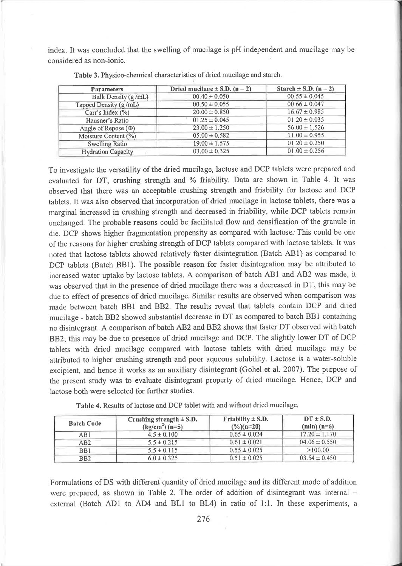index. It was concluded that the swelling of mucilage is pH independent and mucilage may be considered as non-ionic

| <b>Parameters</b>         | Dried mucilage $\pm$ S.D. (n = 2) | Starch $\pm$ S.D. (n = 2) |  |  |
|---------------------------|-----------------------------------|---------------------------|--|--|
| Bulk Density (g/mL)       | $00.40 \pm 0.050$                 | $00.55 \pm 0.045$         |  |  |
| Tapped Density (g/mL)     | $00.50 \pm 0.055$                 | $00.66 \pm 0.047$         |  |  |
| Carr's Index $(\%)$       | $20.00 \pm 0.850$                 | $16.67 \pm 0.985$         |  |  |
| Hausner's Ratio           | $01.25 \pm 0.045$                 | $01.20 \pm 0.035$         |  |  |
| Angle of Repose $(\Phi)$  | $23.00 \pm 1.250$                 | $56.00 \pm 1.526$         |  |  |
| Moisture Content (%)      | $05.00 \pm 0.582$                 | $11.00 \pm 0.955$         |  |  |
| <b>Swelling Ratio</b>     | $19.00 \pm 1.575$                 | $01.20 \pm 0.250$         |  |  |
| <b>Hydration Capacity</b> | $03.00 \pm 0.325$                 | $01.00 \pm 0.256$         |  |  |

Table 3. Physico-chemical characteristics of dried mucilage and starch.

To investigate the versatility of the dried mucilage, lactose and DCP tablets were prepared and evaluated for DT, crushing strength and % friability. Data are shown in Table 4. It was observed that there was an acceptable crushing strength and friability for lactose and DCP tablets. It was also observed that incorporation of dried mucilage in lactose tablets, there was a marginal increased in crushing strength and decreased in friability, while DCP tablets remain unchanged. The probable reasons could be facilitated flow and densification of the granule in die. DCP shows higher fragmentation propensity as compared with lactose. This could be one of the reasons for higher crushing strength of DCP tablets compared with lactose tablets. It was noted that lactose tablets showed relatively faster disintegration (Batch ABI) as compared to DCP tablets (Batch BB1). The possible reason for faster disintegration may be attributed to increased water uptake by lactose tablets. A comparison of batch ABl and AB2 was made, it was observed that in the presence of dried mucilage there was a decreased in DT, this may be due to effect of presence of dried mucilage. Similar results are observed when comparison was made between batch BBI and BB2. The results reveal that tablets contain DCP and dried mucilage - batch BB2 showed substantial decrease in DT as compared to batch BBI containing no disintegrant. A conıparison of batch AB2 and BB2 shows that faster DT observed with batclı BB2; this may be due to presence of dried mucilage and DCP. The slightly lower DT of DCP tablets with dried ınucilage compared with lactose tablets with dried mucilage may be attributed to higher crushing strength and poor aqueous solubility. Lactose is a water-soluble excipient, and hence it works as an auxiliary disintegrant (Gohel et al. 2007). The purpose of the present study was to evaluate disintegrant property of dried mucilage. Hence, DCP and lactose both were selected for further studies.

| <b>Batch Code</b> | Crushing strength $\pm$ S.D.<br>$(kg/cm2) (n=5)$ | Friability $\pm$ S.D.<br>$(\frac{9}{6})(n=20)$ | $DT \pm S.D.$<br>$(min)$ $(n=6)$ |  |  |
|-------------------|--------------------------------------------------|------------------------------------------------|----------------------------------|--|--|
| AB1               | $4.5 \pm 0.100$                                  | $0.65 \pm 0.024$                               | $17.20 \pm 1.170$                |  |  |
| AB2               | $5.5 \pm 0.215$                                  | $0.61 \pm 0.021$                               | $04.06 \pm 0.550$                |  |  |
| B <sub>B1</sub>   | $5.5 \pm 0.115$                                  | $0.55 \pm 0.025$                               | >100.00                          |  |  |
| B <sub>B2</sub>   | $6.0 \pm 0.325$                                  | $0.51 \pm 0.025$                               | $03.54 \pm 0.450$                |  |  |

Table 4. Results of lactose and DCP tablet with and without dried mucilage.

Formulations of DS with different quantity of dried mucilage and its different mode of addition were prepared, as shown in Table 2. The order of addition of disintegrant was internal  $+$ external (Batch AD1 to AD4 and BL1 to BL4) in ratio of  $1:1$ . In these experiments, a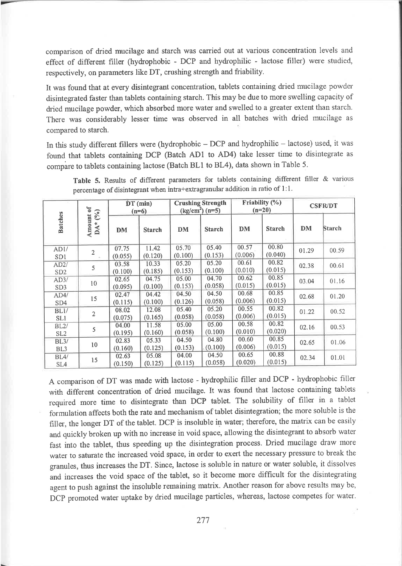comparison of dried mucilage and starch was carried out at various concentration levels and effect of different filler (hydrophobic - DCP and hydrophilic - lactose filler) were studied, respectively, on parameters like DT, crushing strength and friability.

It was found that at every disintegrant concentration, tablets containing dried mucilage powder disintegıated faster than tablets containing starch. This may be due to more swelling capacity of dried mucilage powder, which absorbed more water and swelled to a greater extent than starch. There was considerably lesser time was observed in all batches with dried mucilage as compared to starch.

In this study different fillers were (hydrophobic - DCP and hydrophilic - lactose) used, it was found that tablets containing DCP (Batch ADI to AD4) take lesser time to disintegrate as compare to tablets containing lactose (Batch BL1 to BL4), data shown in Table 5.

| $(°_0)$                              |                | $DT$ (min)<br>$(n=6)$ |                  | <b>Crushing Strength</b><br>$(kg/cm2) (n=5)$ |                  | Friability $(\%)$<br>$(n=20)$ |                  | <b>CSFR/DT</b> |       |
|--------------------------------------|----------------|-----------------------|------------------|----------------------------------------------|------------------|-------------------------------|------------------|----------------|-------|
| Amount of<br><b>Batches</b><br>$DA*$ | <b>DM</b>      | <b>Starch</b>         | <b>DM</b>        | <b>Starch</b>                                | <b>DM</b>        | <b>Starch</b>                 | DM               | <b>Starch</b>  |       |
| AD1/<br>SD1                          | $\overline{2}$ | 07.75<br>(0.055)      | 11.42<br>(0.120) | 05.70<br>(0.100)                             | 05.40<br>(0.153) | 00.57<br>(0.006)              | 00.80<br>(0.040) | 01.29          | 00.59 |
| AD2/<br>SD <sub>2</sub>              | 5              | 03.58<br>(0.100)      | 10.33<br>(0.185) | 05.20<br>(0.153)                             | 05.20<br>(0.100) | 00.61<br>(0.010)              | 00.82<br>(0.015) | 02.38          | 00.61 |
| AD3/<br>SD <sub>3</sub>              | 10             | 02.65<br>(0.095)      | 04.75<br>(0.100) | 05.00<br>(0.153)                             | 04.70<br>(0.058) | 00.62<br>(0.015)              | 00.85<br>(0.015) | 03.04          | 01.16 |
| AD4/<br>SD <sub>4</sub>              | 15             | 02.47<br>(0.115)      | 04.42<br>(0.100) | 04.50<br>(0.126)                             | 04.50<br>(0.058) | 00.68<br>(0.006)              | 00.85<br>(0.015) | 02.68          | 01.20 |
| BL1/<br>SL1                          | 2              | 08.02<br>(0.075)      | 12.08<br>(0.165) | 05.40<br>(0.058)                             | 05.20<br>(0.058) | 00.55<br>(0.006)              | 00.82<br>(0.015) | 01.22          | 00.52 |
| BL2/<br>SL <sub>2</sub>              | 5              | 04.00<br>(0.195)      | 11.58<br>(0.160) | 05.00<br>(0.058)                             | 05.00<br>(0.100) | 00.58<br>(0.010)              | 00.82<br>(0.020) | 02.16          | 00.53 |
| BL3/<br>BL <sub>3</sub>              | 10             | 02.83<br>(0.160)      | 05.33<br>(0.125) | 04.50<br>(0.153)                             | 04.80<br>(0.100) | 00.60<br>(0.006)              | 00.85<br>(0.015) | 02.65          | 01.06 |
| BLA/<br>SL <sub>4</sub>              | 15             | 02.63<br>(0.150)      | 05.08<br>(0.125) | 04.00<br>(0.115)                             | 04.50<br>(0.058) | 00.65<br>(0.020)              | 00.88<br>(0.015) | 02.34          | 01.01 |

Table 5. Results of different parameters for tablets containing different filler & various percentage of disintegrant when intra+extragranular addition in ratio of  $1:1$ .

A comparison of DT was made with lactose - hydrophilic filler and DCP - hydrophobic filler with different concentration of dried mucilage. It was found that lactose containing tablets required more time to disintegrate than DCP tablet. The solubility of filler in a tablet forınulation affects both the rate and mechanism of tablet disintegration; the more soluble is the filler, the longer DT of the tablet. DCP is insoluble in water; therefore, the matrix can be easily and quickly broken up with no increase in void space, allowing the disintegrant to absorb water fast into the tablet, thus speeding up the disintegration process. Dried mucilage draw more water to saturate the increased void space, in order to exert the necessary pressure to break the granules, thus increases the DT. Since, lactose is soluble in nature ör water soluble, it dissolves and increases the void space of the tablet, so it become more difficult for the disintegrating agent to puslı against the insoluble remaining matrix. Another reason for above results may be, DCP promoted water uptake by dried mucilage particles, whereas, lactose competes for water.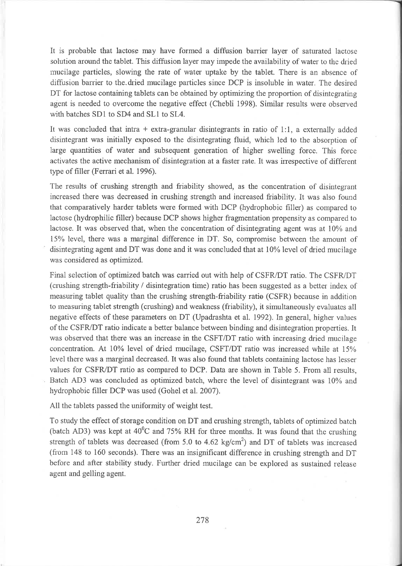It is probable that lactose may have foımed a diffusion barrier layer of saturated lactose solution around the tablet. This diffusion layer may impede the availability of water to the dı'ied mucilage particles, slowing the rate of water uptake by the tablet. There is an absence of diffusion barrier to the dried mucilage particles since DCP is insoluble in water. The desired DT for lactose containing tablets can be obtained by optimizing the proportion of disintegrating agent is needed to overcome the negative effect (Chebli 1998). Similar results were observed with batches SD1 to SD4 and SL1 to SL4.

It was concluded that intra  $+$  extra-granular disintegrants in ratio of 1:1, a externally added disintegıant was initially exposed to the disintegıating fluid, which led to the absorption of large quantities of water and subsequent generation of higher swelling force. This force activates the active mechanism of disintegration at a faster rate. It was irıespective of different type of filler (Ferrari et al. 1996).

The results of crushing strength and friability showed, as the concentration of disintegrant increased there was decreased in crushing strength and increased friability. It was also found that comparatively harder tablets were formed with DCP (hydıophobic filler) as compared to lactose (hydrophilic filler) because DCP shows higher fragmentation propensity as compared to lactose. It was observed that, when the concentration of disintegrating agent was at 10% and 15% level, there was a marginal difference in DT. So, compromise between the amount of disintegrating agent and DT was done and it was concluded that at l0% level of dried mucilage was considered as optimized.

Final selection of optimized batch was carried out with help of CSFR/DT ratio. The CSFR/DT (cruslriııg strength-friabilily / disintegration time) ratio has been suggested as a better index of measuring tablet quality than the crushing strength-friability ratio (CSFR) because in addition to measuring tablet strength (crushing) and weakness (friability), it simultaneously evaluates all negative effects of these parameters on DT (Upadrashta et al. 1992). In general, higher values of the CSFR/DT ratio indicate a better balance between binding and disintegration properties. It was observed that there was an increase in the CSFT/DT ratio with increasing dried mucilage concentration. At 10% level of dried mucilage, CSFT/DT ratio was increased while at  $15\%$ level there was a marginal decreased. It was also found that tablets containing lactose has lesser values for CSFR/DT ratio as compared to DCP. Data are shown in Table 5. From all results, Batch AD3 was concluded as optimized batch, where the level of disintegrant was 10% and hydrophobic filler DCP was used (Gohel et al.2007).

All the tablets passed the uniformity of weight test.

To study the effect of storage condition on DT and crushing strength, tablets of optimized batch (batch AD3) was kept at  $40^{\circ}$ C and 75% RH for three months. It was found that the crushing strength of tablets was decreased (from 5.0 to 4.62 kg/cm<sup>2</sup>) and DT of tablets was increased (from 148 to 160 seconds). There was an insignificant difference in crushing strength and  $DT$ before and after stability study. Further dried mucilage can be explored as sustained release agent and gelling agent.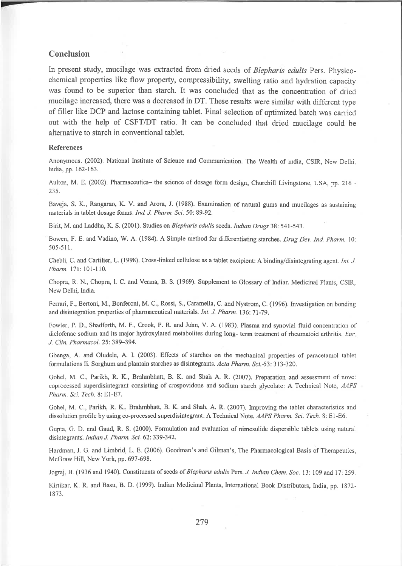# Conclusion

In present study, mucilage was extracted from dried seeds of Blepharis edulis Pers. Physicochemical properties like flow property, compressibility, swelling ratio and hydration capacity was found to be superior than starch. It was concluded that as the concentration of dried mucilage increased, there was a decreased in DT. These results were similar with different type of filler like DCP and lactose containing tablet. Final selection of optimized batch was carried out with the help of CSFT/DT ratio. It can be concluded that dried mucilage could be alternative to starch in conventional tablet.

#### References

Anonymous. (2002). National Institute of Science and Communication. The Wealth of *r*udia, CSIR, New Delhi, India, pp. 162-163.

Aulton, M. E. (2002). Pharmaceutics- the science of dosage form design, Churchill Livingstone, USA, pp. 216 -235.

Baveja, S. K., Rangarao, K. V. and Arora, J. (1988). Examination of natural gums and mucilages as sustaining materials in tablet dosage forms. Ind. J. Pharm. Sci. 50: 89-92.

Birit, M. and Laddha, K. S. (2001). Studies on *Blepharis edulis* seeds. *Indian Drugs* 38: 541-543.

Bowen, F. E. and Vadino, W. A. (1984). A Simple method for differentiating starches. Drug Dev. Ind. Pharm. 10: 505-51 t.

Chebli, C. and Cartilier, L. (1998). Cross-linked cellulose as a tablet excipient: A binding/disintegrating agent. Int. J. Pharm. l7l:101-110,

Chopra, R. N., Chopra, I. C. and Verma, B. S. (1969). Supplement to Glossary of Indian Medicinal Plants, CSIR, New Delhi, India.

Ferrari, F., Bertoni, M., Bonferoni, M. C., Rossi, S., Caramella, C. and Nystrom, C. (1996). Investigation on bonding and disintegration properties of pharmaceutical materials. *Int. J. Pharm.* 136: 71-79.

Fowler, P. D., Shadforth, M. F., Crook, P. R. and John, V. A. (1983). Plasma and synovial fluid concentration of diclofenac sodium and its major hydroxylated metabolites during long- term treatment of rheumatoid arthritis.  $Eur$ J. Clin. Pharmacol. 25: 389-394.

Gbenga, A. and Oludele, A. L (2003). Effects of starches on the mechanical properties of paracetamol tablet formulations II. Sorghum and plantain starches as disintegrants. Acta Pharm. Sci.-53: 313-320.

Gohel, M. C., Parikh, R. K., Brahmbhatt, B. K. and Shah A. R. (2007). Preparation and assessment of novel coprocessed superdisintegrant consisting of crospovidone and sodium starch glycolate: A Technical Note, AAPS Pharm. Sci. Tech.8: El-E7.

Gohel, M. C., Parikh, R. K., Brahmbhatt, B. K. and Shah, A. R. (2007). Improving the tablet characteristics and dissolution profile by using co-processed superdisintegrant: A Technical Note. AAPS Pharm. Sci. Tech. 8: E1-E6.

Gupta, G. D. and Gaud, R. S. (2000). Formulation and evaluation of nimesulide dispersible tablets using natural disintegrants. Indian J. Pharm. Sci. 62: 339-342.

Hardman, J. G. and Limbrid, L. E. (2006). Goodman's and Gilman's, The Pharmacological Basis of Therapeutics, McGraw Hill, New York, pp. 697-698.

Jograj, B. (1936 and 1940). Constituents of seeds of Blepharis edulis Pers. J. Indian Chem. Soc. 13: 109 and 17: 259.

Kirtikar, K. R. and Basu, B. D. (1999). Indian Medicinal Plants, International Book Distributors, India, pp. 1872 ı 873.